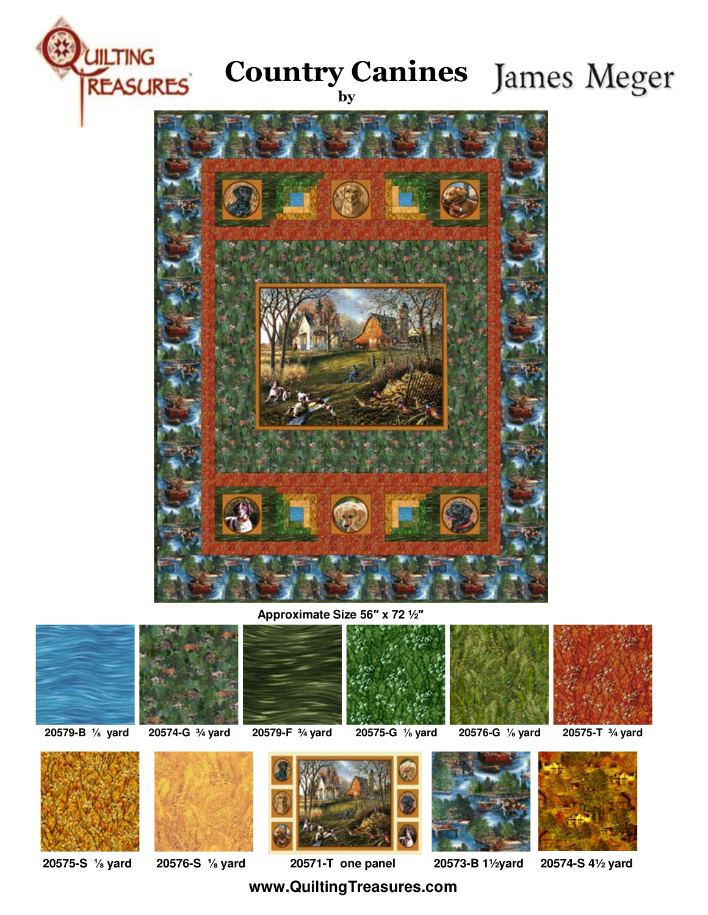

## **Country Canines** James Meger





**Approximate Size 56 x 72 ½**























**20575-S yard 20576-S yard 20571-T one panel 20573-B 1½yard 20574-S 4½ yard**

**www.QuiltingTreasures.com**